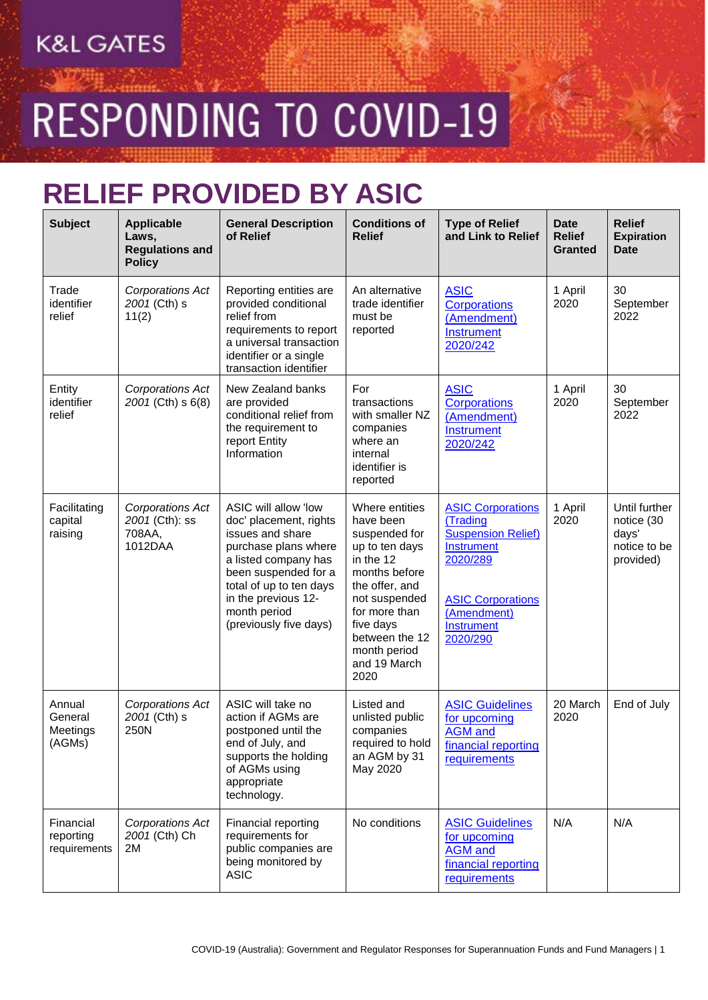RESPONDING TO COVID-19

### **RELIEF PROVIDED BY ASIC**

| <b>Subject</b>                          | <b>Applicable</b><br>Laws,<br><b>Regulations and</b><br><b>Policy</b> | <b>General Description</b><br>of Relief                                                                                                                                                                                                | <b>Conditions of</b><br><b>Relief</b>                                                                                                                                                                                   | <b>Type of Relief</b><br>and Link to Relief                                                                                                                                    | <b>Date</b><br><b>Relief</b><br><b>Granted</b> | <b>Relief</b><br><b>Expiration</b><br><b>Date</b>                 |
|-----------------------------------------|-----------------------------------------------------------------------|----------------------------------------------------------------------------------------------------------------------------------------------------------------------------------------------------------------------------------------|-------------------------------------------------------------------------------------------------------------------------------------------------------------------------------------------------------------------------|--------------------------------------------------------------------------------------------------------------------------------------------------------------------------------|------------------------------------------------|-------------------------------------------------------------------|
| Trade<br>identifier<br>relief           | Corporations Act<br>2001 (Cth) s<br>11(2)                             | Reporting entities are<br>provided conditional<br>relief from<br>requirements to report<br>a universal transaction<br>identifier or a single<br>transaction identifier                                                                 | An alternative<br>trade identifier<br>must be<br>reported                                                                                                                                                               | <b>ASIC</b><br><b>Corporations</b><br>(Amendment)<br><b>Instrument</b><br>2020/242                                                                                             | 1 April<br>2020                                | 30<br>September<br>2022                                           |
| Entity<br>identifier<br>relief          | Corporations Act<br>2001 (Cth) s 6(8)                                 | New Zealand banks<br>are provided<br>conditional relief from<br>the requirement to<br>report Entity<br>Information                                                                                                                     | For<br>transactions<br>with smaller NZ<br>companies<br>where an<br>internal<br>identifier is<br>reported                                                                                                                | <b>ASIC</b><br><b>Corporations</b><br>(Amendment)<br>Instrument<br>2020/242                                                                                                    | 1 April<br>2020                                | 30<br>September<br>2022                                           |
| Facilitating<br>capital<br>raising      | Corporations Act<br>2001 (Cth): ss<br>708AA,<br>1012DAA               | ASIC will allow 'low<br>doc' placement, rights<br>issues and share<br>purchase plans where<br>a listed company has<br>been suspended for a<br>total of up to ten days<br>in the previous 12-<br>month period<br>(previously five days) | Where entities<br>have been<br>suspended for<br>up to ten days<br>in the 12<br>months before<br>the offer, and<br>not suspended<br>for more than<br>five days<br>between the 12<br>month period<br>and 19 March<br>2020 | <b>ASIC Corporations</b><br>(Trading<br><b>Suspension Relief)</b><br><b>Instrument</b><br>2020/289<br><b>ASIC Corporations</b><br>(Amendment)<br><b>Instrument</b><br>2020/290 | 1 April<br>2020                                | Until further<br>notice (30<br>days'<br>notice to be<br>provided) |
| Annual<br>General<br>Meetings<br>(AGMs) | Corporations Act<br>2001 (Cth) s<br>250N                              | ASIC will take no<br>action if AGMs are<br>postponed until the<br>end of July, and<br>supports the holding<br>of AGMs using<br>appropriate<br>technology.                                                                              | Listed and<br>unlisted public<br>companies<br>required to hold<br>an AGM by 31<br>May 2020                                                                                                                              | <b>ASIC Guidelines</b><br>for upcoming<br><b>AGM</b> and<br>financial reporting<br>requirements                                                                                | 20 March<br>2020                               | End of July                                                       |
| Financial<br>reporting<br>requirements  | Corporations Act<br>2001 (Cth) Ch<br>2M                               | Financial reporting<br>requirements for<br>public companies are<br>being monitored by<br><b>ASIC</b>                                                                                                                                   | No conditions                                                                                                                                                                                                           | <b>ASIC Guidelines</b><br>for upcoming<br><b>AGM</b> and<br>financial reporting<br>requirements                                                                                | N/A                                            | N/A                                                               |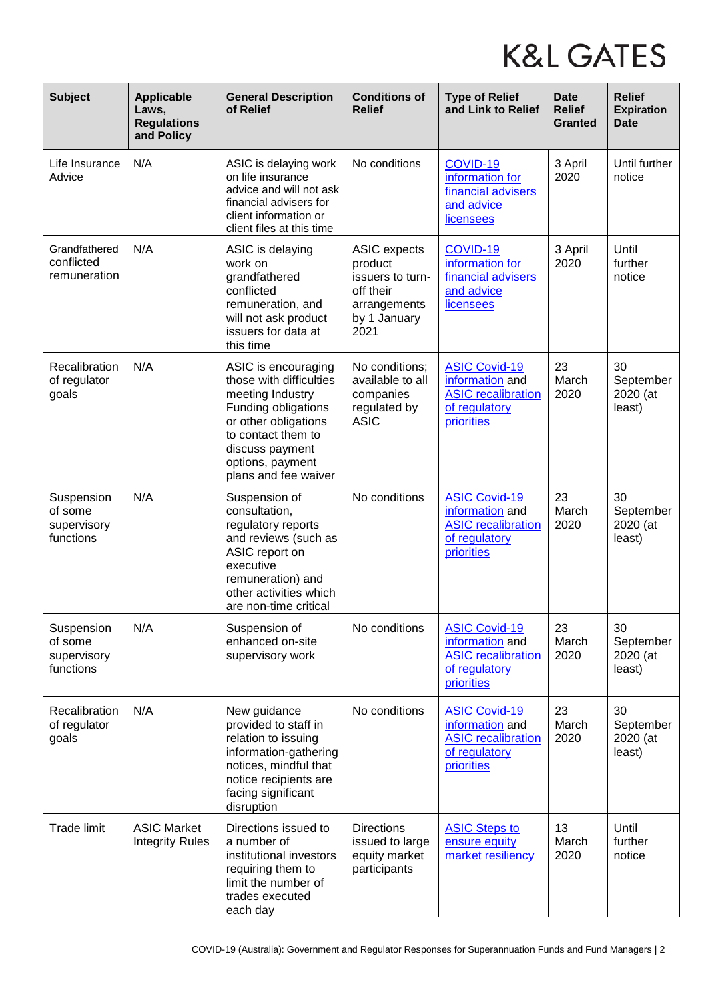| <b>Subject</b>                                    | <b>Applicable</b><br>Laws,<br><b>Regulations</b><br>and Policy | <b>General Description</b><br>of Relief                                                                                                                                                                | <b>Conditions of</b><br><b>Relief</b>                                                                   | <b>Type of Relief</b><br>and Link to Relief                                                         | <b>Date</b><br><b>Relief</b><br><b>Granted</b> | <b>Relief</b><br><b>Expiration</b><br><b>Date</b> |
|---------------------------------------------------|----------------------------------------------------------------|--------------------------------------------------------------------------------------------------------------------------------------------------------------------------------------------------------|---------------------------------------------------------------------------------------------------------|-----------------------------------------------------------------------------------------------------|------------------------------------------------|---------------------------------------------------|
| Life Insurance<br>Advice                          | N/A                                                            | ASIC is delaying work<br>on life insurance<br>advice and will not ask<br>financial advisers for<br>client information or<br>client files at this time                                                  | No conditions                                                                                           | COVID-19<br>information for<br>financial advisers<br>and advice<br>licensees                        | 3 April<br>2020                                | Until further<br>notice                           |
| Grandfathered<br>conflicted<br>remuneration       | N/A                                                            | ASIC is delaying<br>work on<br>grandfathered<br>conflicted<br>remuneration, and<br>will not ask product<br>issuers for data at<br>this time                                                            | <b>ASIC expects</b><br>product<br>issuers to turn-<br>off their<br>arrangements<br>by 1 January<br>2021 | COVID-19<br>information for<br>financial advisers<br>and advice<br>licensees                        | 3 April<br>2020                                | Until<br>further<br>notice                        |
| Recalibration<br>of regulator<br>goals            | N/A                                                            | ASIC is encouraging<br>those with difficulties<br>meeting Industry<br>Funding obligations<br>or other obligations<br>to contact them to<br>discuss payment<br>options, payment<br>plans and fee waiver | No conditions;<br>available to all<br>companies<br>regulated by<br><b>ASIC</b>                          | <b>ASIC Covid-19</b><br>information and<br><b>ASIC recalibration</b><br>of regulatory<br>priorities | 23<br>March<br>2020                            | 30<br>September<br>2020 (at<br>least)             |
| Suspension<br>of some<br>supervisory<br>functions | N/A                                                            | Suspension of<br>consultation,<br>regulatory reports<br>and reviews (such as<br>ASIC report on<br>executive<br>remuneration) and<br>other activities which<br>are non-time critical                    | No conditions                                                                                           | <b>ASIC Covid-19</b><br>information and<br><b>ASIC</b> recalibration<br>of regulatory<br>priorities | 23<br>March<br>2020                            | 30<br>September<br>2020 (at<br>least)             |
| Suspension<br>of some<br>supervisory<br>functions | N/A                                                            | Suspension of<br>enhanced on-site<br>supervisory work                                                                                                                                                  | No conditions                                                                                           | <b>ASIC Covid-19</b><br>information and<br><b>ASIC</b> recalibration<br>of regulatory<br>priorities | 23<br>March<br>2020                            | 30<br>September<br>2020 (at<br>least)             |
| Recalibration<br>of regulator<br>goals            | N/A                                                            | New guidance<br>provided to staff in<br>relation to issuing<br>information-gathering<br>notices, mindful that<br>notice recipients are<br>facing significant<br>disruption                             | No conditions                                                                                           | <b>ASIC Covid-19</b><br>information and<br><b>ASIC</b> recalibration<br>of regulatory<br>priorities | 23<br>March<br>2020                            | 30<br>September<br>2020 (at<br>least)             |
| <b>Trade limit</b>                                | <b>ASIC Market</b><br><b>Integrity Rules</b>                   | Directions issued to<br>a number of<br>institutional investors<br>requiring them to<br>limit the number of<br>trades executed<br>each day                                                              | <b>Directions</b><br>issued to large<br>equity market<br>participants                                   | <b>ASIC Steps to</b><br>ensure equity<br>market resiliency                                          | 13<br>March<br>2020                            | Until<br>further<br>notice                        |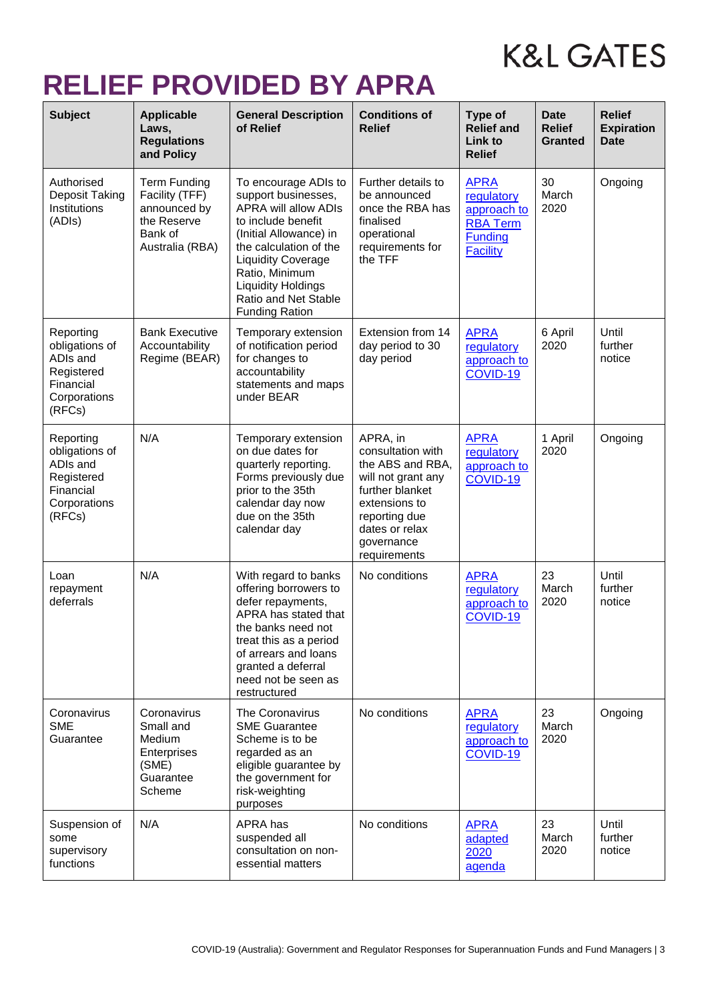### **RELIEF PROVIDED BY APRA**

| <b>Subject</b>                                                                               | <b>Applicable</b><br>Laws,<br><b>Regulations</b><br>and Policy                                     | <b>General Description</b><br>of Relief                                                                                                                                                                                                                                           | <b>Conditions of</b><br><b>Relief</b>                                                                                                                                        | Type of<br><b>Relief and</b><br>Link to<br><b>Relief</b>                                         | <b>Date</b><br><b>Relief</b><br><b>Granted</b> | <b>Relief</b><br><b>Expiration</b><br><b>Date</b> |
|----------------------------------------------------------------------------------------------|----------------------------------------------------------------------------------------------------|-----------------------------------------------------------------------------------------------------------------------------------------------------------------------------------------------------------------------------------------------------------------------------------|------------------------------------------------------------------------------------------------------------------------------------------------------------------------------|--------------------------------------------------------------------------------------------------|------------------------------------------------|---------------------------------------------------|
| Authorised<br>Deposit Taking<br>Institutions<br>(ADIs)                                       | <b>Term Funding</b><br>Facility (TFF)<br>announced by<br>the Reserve<br>Bank of<br>Australia (RBA) | To encourage ADIs to<br>support businesses,<br><b>APRA will allow ADIs</b><br>to include benefit<br>(Initial Allowance) in<br>the calculation of the<br><b>Liquidity Coverage</b><br>Ratio, Minimum<br><b>Liquidity Holdings</b><br>Ratio and Net Stable<br><b>Funding Ration</b> | Further details to<br>be announced<br>once the RBA has<br>finalised<br>operational<br>requirements for<br>the TFF                                                            | <b>APRA</b><br>regulatory<br>approach to<br><b>RBA Term</b><br><b>Funding</b><br><b>Facility</b> | 30<br>March<br>2020                            | Ongoing                                           |
| Reporting<br>obligations of<br>ADIs and<br>Registered<br>Financial<br>Corporations<br>(RFCs) | <b>Bank Executive</b><br>Accountability<br>Regime (BEAR)                                           | Temporary extension<br>of notification period<br>for changes to<br>accountability<br>statements and maps<br>under BEAR                                                                                                                                                            | Extension from 14<br>day period to 30<br>day period                                                                                                                          | <b>APRA</b><br>regulatory<br>approach to<br>COVID-19                                             | 6 April<br>2020                                | Until<br>further<br>notice                        |
| Reporting<br>obligations of<br>ADIs and<br>Registered<br>Financial<br>Corporations<br>(RFCs) | N/A                                                                                                | Temporary extension<br>on due dates for<br>quarterly reporting.<br>Forms previously due<br>prior to the 35th<br>calendar day now<br>due on the 35th<br>calendar day                                                                                                               | APRA, in<br>consultation with<br>the ABS and RBA,<br>will not grant any<br>further blanket<br>extensions to<br>reporting due<br>dates or relax<br>governance<br>requirements | <b>APRA</b><br>regulatory<br>approach to<br>COVID-19                                             | 1 April<br>2020                                | Ongoing                                           |
| Loan<br>repayment<br>deferrals                                                               | N/A                                                                                                | With regard to banks<br>offering borrowers to<br>defer repayments,<br>APRA has stated that<br>the banks need not<br>treat this as a period<br>of arrears and loans<br>granted a deferral<br>need not be seen as<br>restructured                                                   | No conditions                                                                                                                                                                | <b>APRA</b><br>regulatory<br>approach to<br>COVID-19                                             | 23<br>March<br>2020                            | Until<br>further<br>notice                        |
| Coronavirus<br><b>SME</b><br>Guarantee                                                       | Coronavirus<br>Small and<br>Medium<br>Enterprises<br>(SME)<br>Guarantee<br>Scheme                  | The Coronavirus<br><b>SME Guarantee</b><br>Scheme is to be<br>regarded as an<br>eligible guarantee by<br>the government for<br>risk-weighting<br>purposes                                                                                                                         | No conditions                                                                                                                                                                | <b>APRA</b><br>regulatory<br>approach to<br>COVID-19                                             | 23<br>March<br>2020                            | Ongoing                                           |
| Suspension of<br>some<br>supervisory<br>functions                                            | N/A                                                                                                | APRA has<br>suspended all<br>consultation on non-<br>essential matters                                                                                                                                                                                                            | No conditions                                                                                                                                                                | <b>APRA</b><br>adapted<br>2020<br>agenda                                                         | 23<br>March<br>2020                            | Until<br>further<br>notice                        |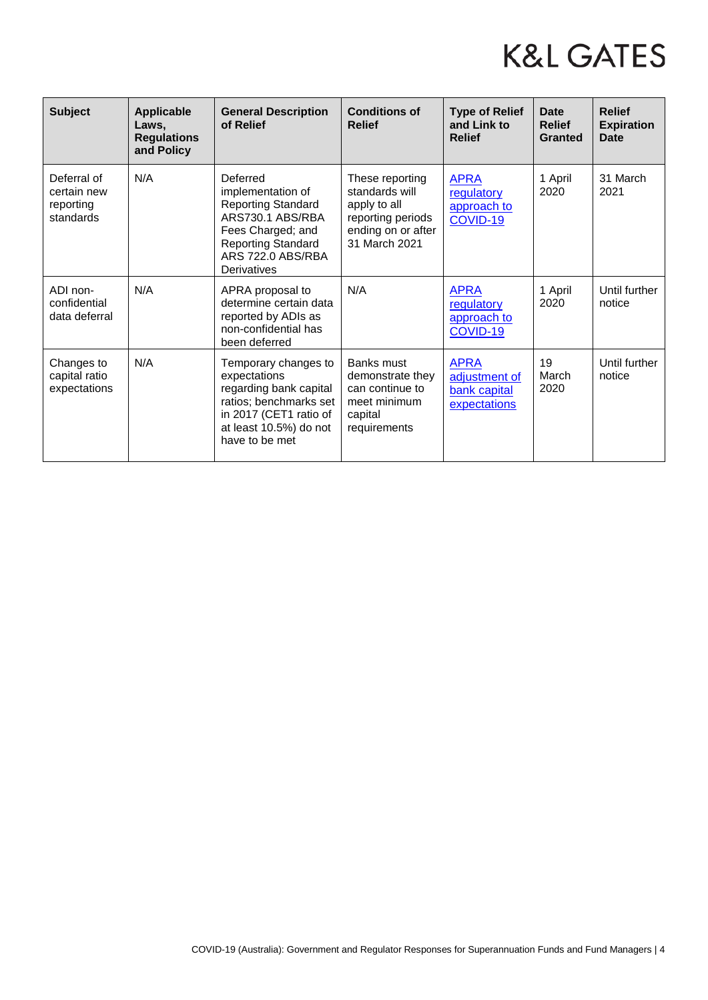| <b>Subject</b>                                       | <b>Applicable</b><br>Laws,<br><b>Regulations</b><br>and Policy | <b>General Description</b><br>of Relief                                                                                                                              | <b>Conditions of</b><br><b>Relief</b>                                                                         | <b>Type of Relief</b><br>and Link to<br><b>Relief</b>        | <b>Date</b><br><b>Relief</b><br>Granted | <b>Relief</b><br><b>Expiration</b><br><b>Date</b> |
|------------------------------------------------------|----------------------------------------------------------------|----------------------------------------------------------------------------------------------------------------------------------------------------------------------|---------------------------------------------------------------------------------------------------------------|--------------------------------------------------------------|-----------------------------------------|---------------------------------------------------|
| Deferral of<br>certain new<br>reporting<br>standards | N/A                                                            | Deferred<br>implementation of<br><b>Reporting Standard</b><br>ARS730.1 ABS/RBA<br>Fees Charged; and<br><b>Reporting Standard</b><br>ARS 722.0 ABS/RBA<br>Derivatives | These reporting<br>standards will<br>apply to all<br>reporting periods<br>ending on or after<br>31 March 2021 | <b>APRA</b><br>regulatory<br>approach to<br>COVID-19         | 1 April<br>2020                         | 31 March<br>2021                                  |
| ADI non-<br>confidential<br>data deferral            | N/A                                                            | APRA proposal to<br>determine certain data<br>reported by ADIs as<br>non-confidential has<br>been deferred                                                           | N/A                                                                                                           | <b>APRA</b><br>regulatory<br>approach to<br>COVID-19         | 1 April<br>2020                         | Until further<br>notice                           |
| Changes to<br>capital ratio<br>expectations          | N/A                                                            | Temporary changes to<br>expectations<br>regarding bank capital<br>ratios; benchmarks set<br>in 2017 (CET1 ratio of<br>at least 10.5%) do not<br>have to be met       | Banks must<br>demonstrate they<br>can continue to<br>meet minimum<br>capital<br>requirements                  | <b>APRA</b><br>adjustment of<br>bank capital<br>expectations | 19<br>March<br>2020                     | Until further<br>notice                           |